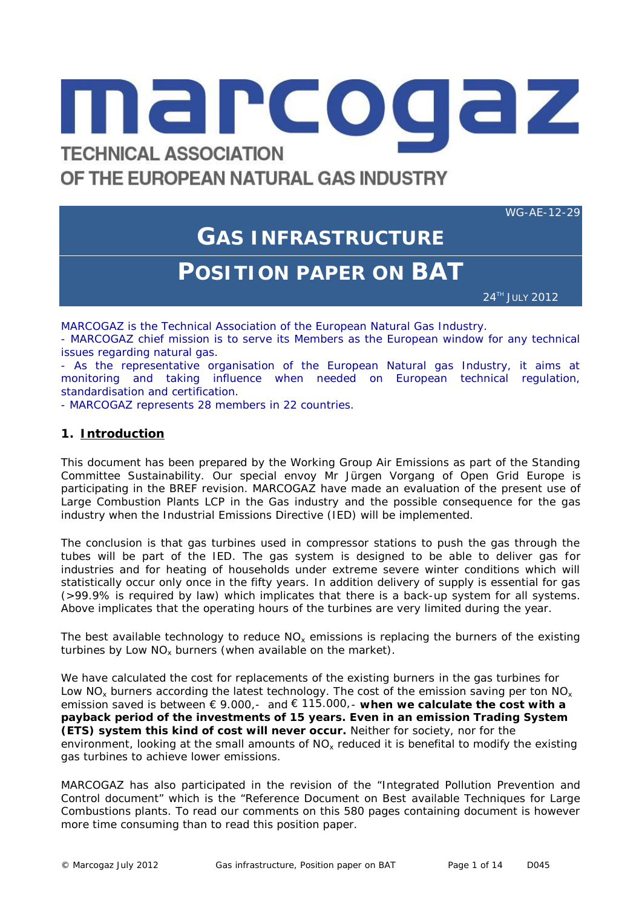

# OF THE EUROPEAN NATURAL GAS INDUSTRY

WG-AE-12-29

# **GAS INFRASTRUCTURE POSITION PAPER ON BAT**

24TH JULY 2012

MARCOGAZ isthe Technical Association of the European Natural Gas Industry.

- MARCOGAZ chief mission is to serve its Members as the European window for any technical issues regarding natural gas.

- As the representative organisation of the European Natural gas Industry, it aims at monitoring and taking influence when needed on European technical regulation, standardisation and certification.

- MARCOGAZ represents 28 members in 22 countries.

# **1. Introduction**

This document has been prepared by the Working Group Air Emissions as part of the Standing Committee Sustainability. Our special envoy Mr Jürgen Vorgang of Open Grid Europe is participating in the BREF revision. MARCOGAZ have made an evaluation of the present use of Large Combustion Plants LCP in the Gas industry and the possible consequence for the gas industry when the Industrial Emissions Directive (IED) will be implemented.

The conclusion is that gas turbines used in compressor stations to push the gas through the tubes will be part of the IED. The gas system is designed to be able to deliver gas for industries and for heating of households under extreme severe winter conditions which will statistically occur only once in the fifty years. In addition delivery of supply is essential for gas (>99.9% is required by law) which implicates that there is a back-up system for all systems. Above implicates that the operating hours of the turbines are very limited during the year.

The best available technology to reduce  $NO<sub>x</sub>$  emissions is replacing the burners of the existing turbines by Low  $NO<sub>x</sub>$  burners (when available on the market).

We have calculated the cost for replacements of the existing burners in the gas turbines for Low  $NO_x$  burners according the latest technology. The cost of the emission saving per ton  $NO_x$ emission saved is between  $\in$  9.000,- and  $\in$  115.000,- when we calculate the cost with a **payback period of the investments of 15 years. Even in an emission Trading System (ETS) system this kind of cost will never occur.** Neither for society, nor for the environment, looking at the small amounts of NO<sub>x</sub> reduced it is benefital to modify the existing gas turbines to achieve lower emissions.

MARCOGAZ has also participated in the revision of the "Integrated Pollution Prevention and Control document" which is the "Reference Document on Best available Techniques for Large Combustions plants. To read our comments on this 580 pages containing document is however more time consuming than to read this position paper.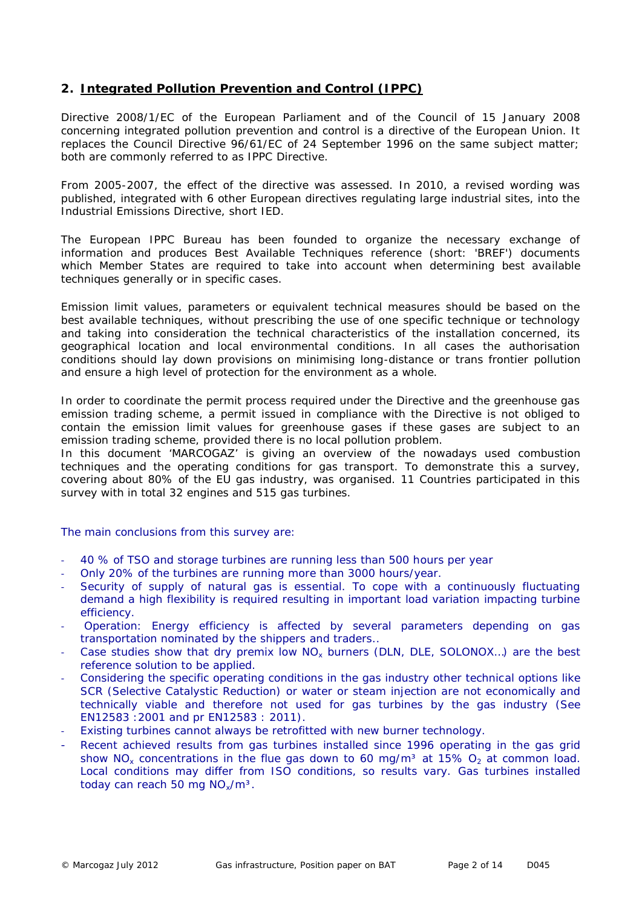# **2. Integrated Pollution Prevention and Control (IPPC)**

Directive 2008/1/EC of the European Parliament and of the Council of 15 January 2008 concerning integrated pollution prevention and control is a directive of the European Union. It replaces the Council Directive 96/61/EC of 24 September 1996 on the same subject matter; both are commonly referred to as IPPC Directive.

From 2005-2007, the effect of the directive was assessed. In 2010, a revised wording was published, integrated with 6 other European directives regulating large industrial sites, into the Industrial Emissions Directive, short IED.

The European IPPC Bureau has been founded to organize the necessary exchange of information and produces Best Available Techniques reference (short: 'BREF') documents which Member States are required to take into account when determining best available techniques generally or in specific cases.

Emission limit values, parameters or equivalent technical measures should be based on the best available techniques, without prescribing the use of one specific technique or technology and taking into consideration the technical characteristics of the installation concerned, its geographical location and local environmental conditions. In all cases the authorisation conditions should lay down provisions on minimising long-distance or trans frontier pollution and ensure a high level of protection for the environment as a whole.

In order to coordinate the permit process required under the Directive and the greenhouse gas emission trading scheme, a permit issued in compliance with the Directive is not obliged to contain the emission limit values for greenhouse gases if these gases are subject to an emission trading scheme, provided there is no local pollution problem.

In this document 'MARCOGAZ' is giving an overview of the nowadays used combustion techniques and the operating conditions for gas transport. To demonstrate this a survey, covering about 80% of the EU gas industry, was organised. 11 Countries participated in this survey with in total 32 engines and 515 gas turbines.

*The main conclusions from this survey are:*

- *40 % of TSO and storage turbines are running less than 500 hours per year*
- *Only 20% of the turbines are running more than 3000 hours/year.*
- *Security of supply of natural gas is essential. To cope with a continuously fluctuating demand a high flexibility is required resulting in important load variation impacting turbine efficiency.*
- *Operation: Energy efficiency is affected by several parameters depending on gas transportation nominated by the shippers and traders..*
- *Case studies show that dry premix low NO<sup>x</sup> burners (DLN, DLE, SOLONOX…) are the best reference solution to be applied.*
- *Considering the specific operating conditions in the gas industry other technical options like SCR (Selective Catalystic Reduction) or water or steam injection are not economically and technically viable and therefore not used for gas turbines by the gas industry (See EN12583 :2001 and pr EN12583 : 2011).*
- *Existing turbines cannot always be retrofitted with new burner technology.*
- *Recent achieved results from gas turbines installed since 1996 operating in the gas grid show NO<sup>x</sup> concentrations in the flue gas down to 60 mg/m³ at 15% O<sup>2</sup> at common load. Local conditions may differ from ISO conditions, so results vary. Gas turbines installed today can reach 50 mg NOx/m³.*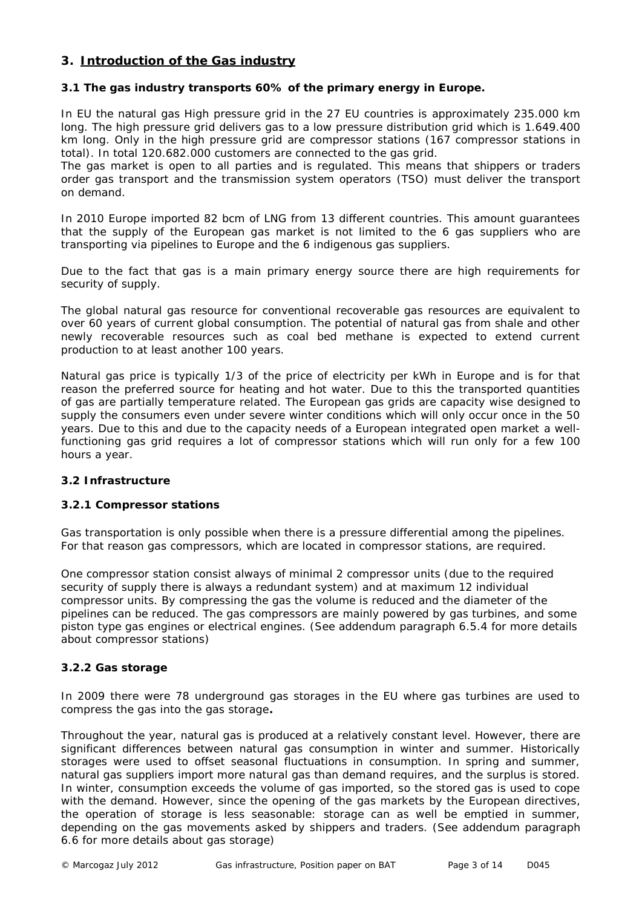# **3. Introduction of the Gas industry**

**3.1 The gas industry transports 60% of the primary energy in Europe.**

In EU the natural gas High pressure grid in the 27 EU countries is approximately 235.000 km long. The high pressure grid delivers gas to a low pressure distribution grid which is 1.649.400 km long. Only in the high pressure grid are compressor stations (167 compressor stations in total). In total 120.682.000 customers are connected to the gas grid.

The gas market is open to all parties and is regulated. This means that shippers or traders order gas transport and the transmission system operators (TSO) must deliver the transport on demand.

In 2010 Europe imported 82 bcm of LNG from 13 different countries. This amount guarantees that the supply of the European gas market is not limited to the 6 gas suppliers who are transporting via pipelines to Europe and the 6 indigenous gas suppliers.

Due to the fact that gas is a main primary energy source there are high requirements for security of supply.

The global natural gas resource for conventional recoverable gas resources are equivalent to over 60 years of current global consumption. The potential of natural gas from shale and other newly recoverable resources such as coal bed methane is expected to extend current production to at least another 100 years.

Natural gas price is typically 1/3 of the price of electricity per kWh in Europe and is for that reason the preferred source for heating and hot water. Due to this the transported quantities of gas are partially temperature related. The European gas grids are capacity wise designed to supply the consumers even under severe winter conditions which will only occur once in the 50 years. Due to this and due to the capacity needs of a European integrated open market a wellfunctioning gas grid requires a lot of compressor stations which will run only for a few 100 hours a year.

# *3.2 Infrastructure*

# **3.2.1 Compressor stations**

Gas transportation is only possible when there is a pressure differential among the pipelines. For that reason gas compressors, which are located in compressor stations, are required.

One compressor station consist always of minimal 2 compressor units (due to the required security of supply there is always a redundant system) and at maximum 12 individual compressor units. By compressing the gas the volume is reduced and the diameter of the pipelines can be reduced. The gas compressors are mainly powered by gas turbines, and some piston type gas engines or electrical engines. (See addendum paragraph 6.5.4 for more details about compressor stations)

# **3.2.2 Gas storage**

In 2009 there were 78 underground gas storages in the EU where gas turbines are used to compress the gas into the gas storage**.**

Throughout the year, natural gas is produced at a relatively constant level. However, there are significant differences between natural gas consumption in winter and summer. Historically storages were used to offset seasonal fluctuations in consumption. In spring and summer, natural gas suppliers import more natural gas than demand requires, and the surplus is stored. In winter, consumption exceeds the volume of gas imported, so the stored gas is used to cope with the demand. However, since the opening of the gas markets by the European directives, the operation of storage is less seasonable: storage can as well be emptied in summer, depending on the gas movements asked by shippers and traders. (See addendum paragraph 6.6 for more details about gas storage)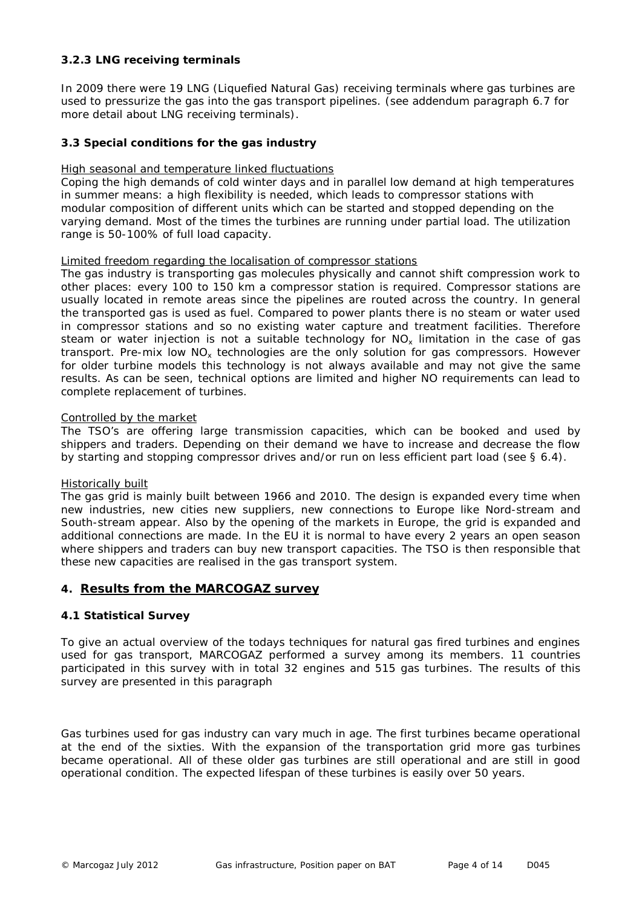# **3.2.3 LNG receiving terminals**

In 2009 there were 19 LNG (Liquefied Natural Gas) receiving terminals where gas turbines are used to pressurize the gas into the gas transport pipelines. (see addendum paragraph 6.7 for more detail about LNG receiving terminals).

# **3.3 Special conditions for the gas industry**

# High seasonal and temperature linked fluctuations

Coping the high demands of cold winter days and in parallel low demand at high temperatures in summer means: a high flexibility is needed, which leads to compressor stations with modular composition of different units which can be started and stopped depending on the varying demand. Most of the times the turbines are running under partial load. The utilization range is 50-100% of full load capacity.

# Limited freedom regarding the localisation of compressor stations

The gas industry is transporting gas molecules physically and cannot shift compression work to other places: every 100 to 150 km a compressor station is required. Compressor stations are usually located in remote areas since the pipelines are routed across the country. In general the transported gas is used as fuel. Compared to power plants there is no steam or water used in compressor stations and so no existing water capture and treatment facilities. Therefore steam or water injection is not a suitable technology for  $NO<sub>x</sub>$  limitation in the case of gas transport. Pre-mix low  $NO<sub>x</sub>$  technologies are the only solution for gas compressors. However for older turbine models this technology is not always available and may not give the same results. As can be seen, technical options are limited and higher NO requirements can lead to complete replacement of turbines.

# Controlled by the market

The TSO's are offering large transmission capacities, which can be booked and used by shippers and traders. Depending on their demand we have to increase and decrease the flow by starting and stopping compressor drives and/or run on less efficient part load (see § 6.4).

# Historically built

The gas grid is mainly built between 1966 and 2010. The design is expanded every time when new industries, new cities new suppliers, new connections to Europe like Nord-stream and South-stream appear. Also by the opening of the markets in Europe, the grid is expanded and additional connections are made. In the EU it is normal to have every 2 years an open season where shippers and traders can buy new transport capacities. The TSO is then responsible that these new capacities are realised in the gas transport system.

# **4. Results from the MARCOGAZ survey**

# **4.1 Statistical Survey**

To give an actual overview of the todays techniques for natural gas fired turbines and engines used for gas transport, MARCOGAZ performed a survey among its members. 11 countries participated in this survey with in total 32 engines and 515 gas turbines. The results of this survey are presented in this paragraph

Gas turbines used for gas industry can vary much in age. The first turbines became operational at the end of the sixties. With the expansion of the transportation grid more gas turbines became operational. All of these older gas turbines are still operational and are still in good operational condition. The expected lifespan of these turbines is easily over 50 years.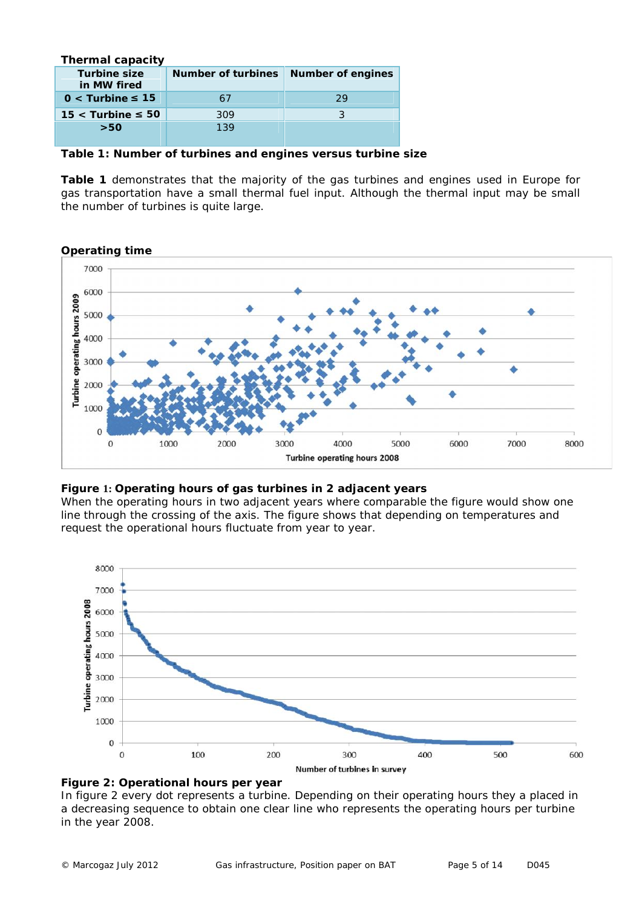| Thermal capacity |        |                                      |    |
|------------------|--------|--------------------------------------|----|
| Turbine size     |        | Number of turbines Number of engines |    |
| in MW fired      |        |                                      |    |
| $0 <$ Turbine    | $-157$ |                                      | 29 |
| $15 <$ Turbine   | 50     | 309                                  |    |
| >50              |        | 139                                  |    |
|                  |        |                                      |    |

**Table 1: Number of turbines and engines versus turbine size**

**Table 1** demonstrates that the majority of the gas turbines and engines used in Europe for gas transportation have a small thermal fuel input. Although the thermal input may be small the number of turbines is quite large.

**Operating time**



**Figure 1: Operating hours of gas turbines in 2 adjacent years**

When the operating hours in two adjacent years where comparable the figure would show one line through the crossing of the axis. The figure shows that depending on temperatures and request the operational hours fluctuate from year to year.





In figure 2 every dot represents a turbine. Depending on their operating hours they a placed in a decreasing sequence to obtain one clear line who represents the operating hours per turbine in the year 2008.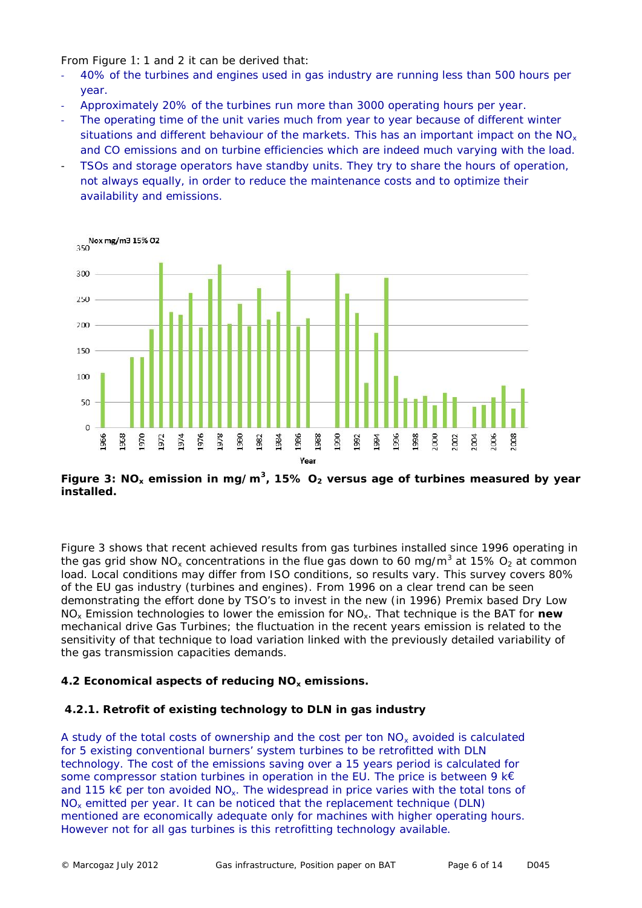From Figure 1: 1 and 2 it can be derived that:

- 40% of the turbines and engines used in gas industry are running less than 500 hours per year.
- Approximately 20% of the turbines run more than 3000 operating hours per year.
- The operating time of the unit varies much from year to year because of different winter situations and different behaviour of the markets. This has an important impact on the  $NO<sub>x</sub>$ and CO emissions and on turbine efficiencies which are indeed much varying with the load.
- TSOs and storage operators have standby units. They try to share the hours of operation, not always equally, in order to reduce the maintenance costs and to optimize their availability and emissions.



**Figure 3: NO<sup>x</sup> emission in mg/m<sup>3</sup> , 15% O<sup>2</sup> versus age of turbines measured by year installed.**

Figure 3 shows that recent achieved results from gas turbines installed since 1996 operating in the gas grid show NO<sub>x</sub> concentrations in the flue gas down to 60 mg/m<sup>3</sup> at 15% O<sub>2</sub> at common load. Local conditions may differ from ISO conditions, so results vary. This survey covers 80% of the EU gas industry (turbines and engines). From 1996 on a clear trend can be seen demonstrating the effort done by TSO's to invest in the new (in 1996) Premix based Dry Low NO<sup>x</sup> Emission technologies to lower the emission for NOx. That technique is the BAT for **new** mechanical drive Gas Turbines; the fluctuation in the recent years emission is related to the sensitivity of that technique to load variation linked with the previously detailed variability of the gas transmission capacities demands.

**4.2 Economical aspects of reducing NO<sup>x</sup> emissions.**

# **4.2.1. Retrofit of existing technology to DLN in gas industry**

*A study of the total costs of ownership and the cost per ton NO<sup>x</sup> avoided is calculated for 5 existing conventional burners' system turbines to be retrofitted with DLN technology. The cost of the emissions saving over a 15 years period is calculated for some compressor station turbines in operation in the EU. The price is between 9 k€ and 115 k€ per ton avoided NOx. The widespread in price varies with the total tons of NO<sup>x</sup> emitted per year. It can be noticed that the replacement technique (DLN) mentioned are economically adequate only for machines with higher operating hours. However not for all gas turbines is this retrofitting technology available.*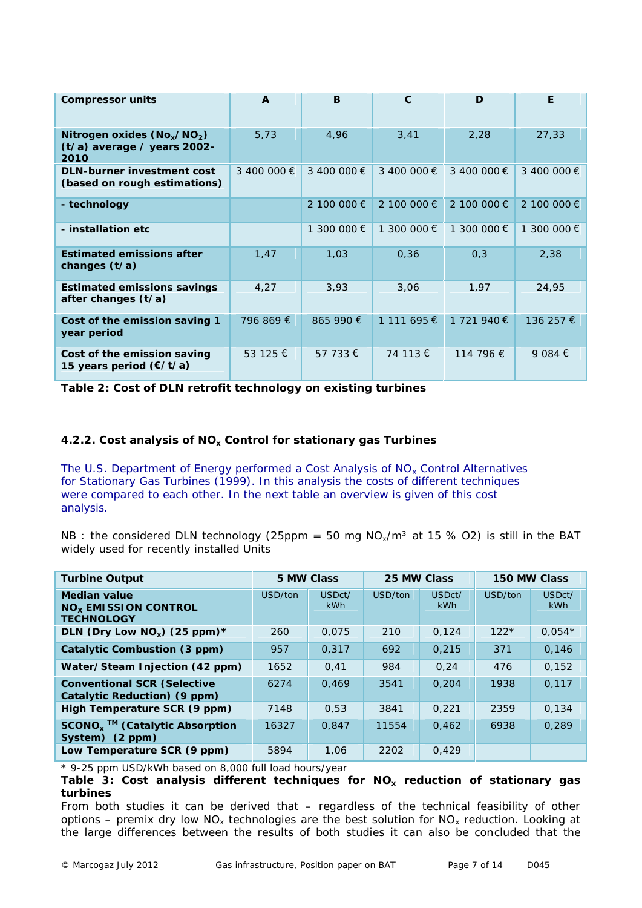| Compressor units                                                       | $\overline{A}$ | B              | $\mathcal{C}$ | D           | E           |
|------------------------------------------------------------------------|----------------|----------------|---------------|-------------|-------------|
| Nitrogen oxides $(No_x/NO_2)$<br>$(t/a)$ average / years 2002-<br>2010 | 5,73           | 4,96           | 3,41          | 2,28        | 27,33       |
| DLN-burner investment cost<br>(based on rough estimations)             | 3 400 000 €    | 3 400 000 €    | 3 400 000 €   | 3 400 000 € | 3 400 000 € |
| - technology                                                           |                | 2 100 000 €    | 2 100 000 €   | 2 100 000 € | 2 100 000 € |
| - installation etc.                                                    |                | 300 000 €<br>1 | 1 300 000 €   | 1 300 000 € | 1 300 000 € |
| Estimated emissions after<br>changes $(t/a)$                           | 1,47           | 1,03           | 0,36          | 0,3         | 2,38        |
| Estimated emissions savings<br>after changes $(t/a)$                   | 4,27           | 3,93           | 3,06          | 1,97        | 24,95       |
| Cost of the emission saving 1<br>year period                           | 796 869 €      | 865 990 €      | 1 111 695 €   | 1 721 940 € | 136 257 €   |
| Cost of the emission saving<br>15 years period (€/t/a)                 | 53 125 €       | 57 733 €       | 74 113 €      | 114 796 €   | 9 084 €     |

**Table 2: Cost of DLN retrofit technology on existing turbines**

**4.2.2. Cost analysis of NO<sup>x</sup> Control for stationary gas Turbines**

*The U.S. Department of Energy performed a Cost Analysis of NO<sup>x</sup> Control Alternatives for Stationary Gas Turbines (1999). In this analysis the costs of different techniques were compared to each other. In the next table an overview is given of this cost analysis.*

NB : the considered DLN technology (25ppm = 50 mg  $NO_x/m^3$  at 15 % O2) is still in the BAT widely used for recently installed Units

| <b>Turbine Output</b>                                                 | 5 MW Class |               | 25 MW Class |                      | 150 MW Class |                      |
|-----------------------------------------------------------------------|------------|---------------|-------------|----------------------|--------------|----------------------|
| Median value<br>NO <sub>x</sub> EMISSION CONTROL<br><b>TECHNOLOGY</b> | USD/ton    | USDct/<br>kWh | USD/ton     | USDct/<br><b>kWh</b> | USD/ton      | USDct/<br><b>kWh</b> |
| DLN (Dry Low NO <sub>x</sub> ) (25 ppm) $*$                           | 260        | 0.075         | 210         | 0,124                | $122*$       | $0.054*$             |
| Catalytic Combustion (3 ppm)                                          | 957        | 0.317         | 692         | 0,215                | 371          | 0.146                |
| Water/Steam Injection (42 ppm)                                        | 1652       | 0,41          | 984         | 0.24                 | 476          | 0,152                |
| Conventional SCR (Selective<br>Catalytic Reduction) (9 ppm)           | 6274       | 0.469         | 3541        | 0.204                | 1938         | 0,117                |
| High Temperature SCR (9 ppm)                                          | 7148       | 0.53          | 3841        | 0.221                | 2359         | 0.134                |
| $SCONOx$ <sup>™</sup> (Catalytic Absorption<br>System) $(2 ppm)$      | 16327      | 0.847         | 11554       | 0,462                | 6938         | 0,289                |
| Low Temperature SCR (9 ppm)                                           | 5894       | 1,06          | 2202        | 0,429                |              |                      |

\* 9-25 ppm USD/kWh based on 8,000 full load hours/year

**Table 3: Cost analysis different techniques for NO<sup>x</sup> reduction of stationary gas turbines**

From both studies it can be derived that – regardless of the technical feasibility of other options – premix dry low  $NO<sub>x</sub>$  technologies are the best solution for  $NO<sub>x</sub>$  reduction. Looking at the large differences between the results of both studies it can also be concluded that the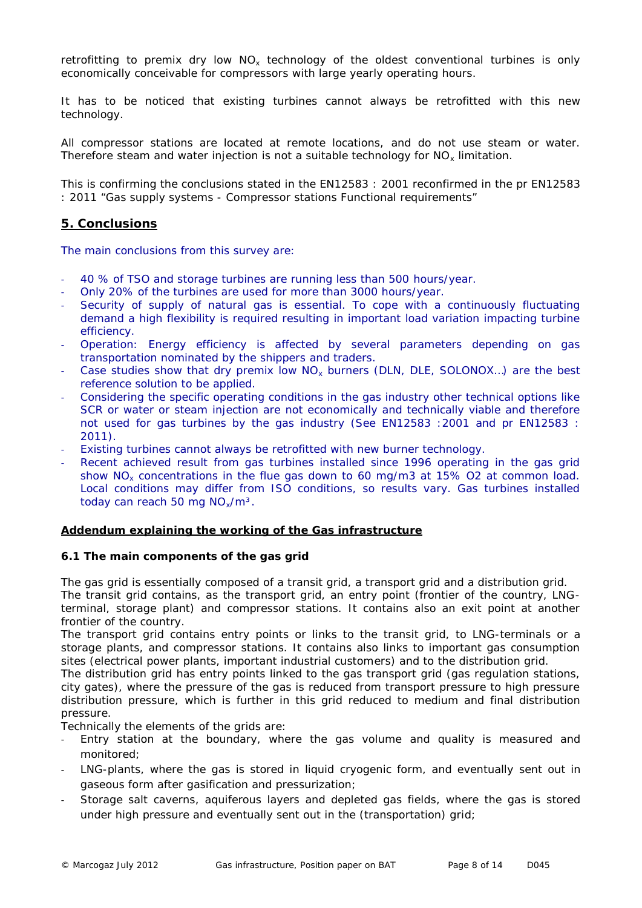retrofitting to premix dry low NO<sub>x</sub> technology of the oldest conventional turbines is only economically conceivable for compressors with large yearly operating hours.

It has to be noticed that *existing turbines cannot always be retrofitted with this new technology.*

All compressor stations are located at remote locations, and do not use steam or water. Therefore steam and water injection is not a suitable technology for  $NO<sub>x</sub>$  limitation.

This is confirming the conclusions stated in the EN12583 : 2001 reconfirmed in the pr EN12583 : 2011 "Gas supply systems - Compressor stations Functional requirements"

# **5. Conclusions**

*The main conclusions from this survey are:*

- *40 % of TSO and storage turbines are running less than 500 hours/year.*
- *Only 20% of the turbines are used for more than 3000 hours/year.*
- *Security of supply of natural gas is essential. To cope with a continuously fluctuating demand a high flexibility is required resulting in important load variation impacting turbine efficiency.*
- *Operation: Energy efficiency is affected by several parameters depending on gas transportation nominated by the shippers and traders.*
- *Case studies show that dry premix low NO<sup>x</sup> burners (DLN, DLE, SOLONOX…) are the best reference solution to be applied.*
- *Considering the specific operating conditions in the gas industry other technical options like SCR or water or steam injection are not economically and technically viable and therefore not used for gas turbines by the gas industry (See EN12583 :2001 and pr EN12583 : 2011).*
- *Existing turbines cannot always be retrofitted with new burner technology.*
- *Recent achieved result from gas turbines installed since 1996 operating in the gas grid show NO<sup>x</sup> concentrations in the flue gas down to 60 mg/m3 at 15% O2 at common load. Local conditions may differ from ISO conditions, so results vary. Gas turbines installed today can reach 50 mg NOx/m³.*

#### **Addendum explaining the working of the Gas infrastructure**

# **6.1 The main components of the gas grid**

The gas grid is essentially composed of a transit grid, a transport grid and a distribution grid. The transit grid contains, as the transport grid, an entry point (frontier of the country, LNGterminal, storage plant) and compressor stations. It contains also an exit point at another frontier of the country.

The transport grid contains entry points or links to the transit grid, to LNG-terminals or a storage plants, and compressor stations. It contains also links to important gas consumption sites (electrical power plants, important industrial customers) and to the distribution grid.

The distribution grid has entry points linked to the gas transport grid (gas regulation stations, city gates), where the pressure of the gas is reduced from transport pressure to high pressure distribution pressure, which is further in this grid reduced to medium and final distribution pressure.

Technically the elements of the grids are:

- Entry station at the boundary, where the gas volume and quality is measured and monitored;
- LNG-plants, where the gas is stored in liquid cryogenic form, and eventually sent out in gaseous form after gasification and pressurization;
- Storage salt caverns, aquiferous layers and depleted gas fields, where the gas is stored under high pressure and eventually sent out in the (transportation) grid;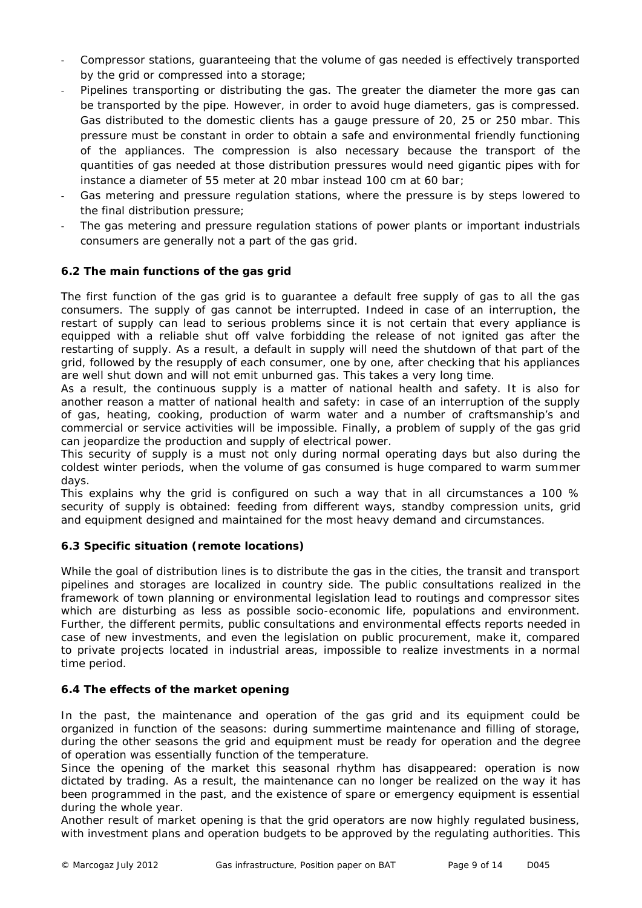- Compressor stations, guaranteeing that the volume of gas needed is effectively transported by the grid or compressed into a storage;
- Pipelines transporting or distributing the gas. The greater the diameter the more gas can be transported by the pipe. However, in order to avoid huge diameters, gas is compressed. Gas distributed to the domestic clients has a gauge pressure of 20, 25 or 250 mbar. This pressure must be constant in order to obtain a safe and environmental friendly functioning of the appliances. The compression is also necessary because the transport of the quantities of gas needed at those distribution pressures would need gigantic pipes with for instance a diameter of 55 meter at 20 mbar instead 100 cm at 60 bar;
- Gas metering and pressure regulation stations, where the pressure is by steps lowered to the final distribution pressure;
- The gas metering and pressure regulation stations of power plants or important industrials consumers are generally not a part of the gas grid.

# **6.2 The main functions of the gas grid**

The first function of the gas grid is to guarantee a default free supply of gas to all the gas consumers. The supply of gas cannot be interrupted. Indeed in case of an interruption, the restart of supply can lead to serious problems since it is not certain that every appliance is equipped with a reliable shut off valve forbidding the release of not ignited gas after the restarting of supply. As a result, a default in supply will need the shutdown of that part of the grid, followed by the resupply of each consumer, one by one, after checking that his appliances are well shut down and will not emit unburned gas. This takes a very long time.

As a result, the continuous supply is a matter of national health and safety. It is also for another reason a matter of national health and safety: in case of an interruption of the supply of gas, heating, cooking, production of warm water and a number of craftsmanship's and commercial or service activities will be impossible. Finally, a problem of supply of the gas grid can jeopardize the production and supply of electrical power.

This security of supply is a must not only during normal operating days but also during the coldest winter periods, when the volume of gas consumed is huge compared to warm summer days.

This explains why the grid is configured on such a way that in all circumstances a 100 % security of supply is obtained: feeding from different ways, standby compression units, grid and equipment designed and maintained for the most heavy demand and circumstances.

# **6.3 Specific situation (remote locations)**

While the goal of distribution lines is to distribute the gas in the cities, the transit and transport pipelines and storages are localized in country side. The public consultations realized in the framework of town planning or environmental legislation lead to routings and compressor sites which are disturbing as less as possible socio-economic life, populations and environment. Further, the different permits, public consultations and environmental effects reports needed in case of new investments, and even the legislation on public procurement, make it, compared to private projects located in industrial areas, impossible to realize investments in a normal time period.

# **6.4 The effects of the market opening**

In the past, the maintenance and operation of the gas grid and its equipment could be organized in function of the seasons: during summertime maintenance and filling of storage, during the other seasons the grid and equipment must be ready for operation and the degree of operation was essentially function of the temperature.

Since the opening of the market this seasonal rhythm has disappeared: operation is now dictated by trading. As a result, the maintenance can no longer be realized on the way it has been programmed in the past, and the existence of spare or emergency equipment is essential during the whole year.

Another result of market opening is that the grid operators are now highly regulated business, with investment plans and operation budgets to be approved by the regulating authorities. This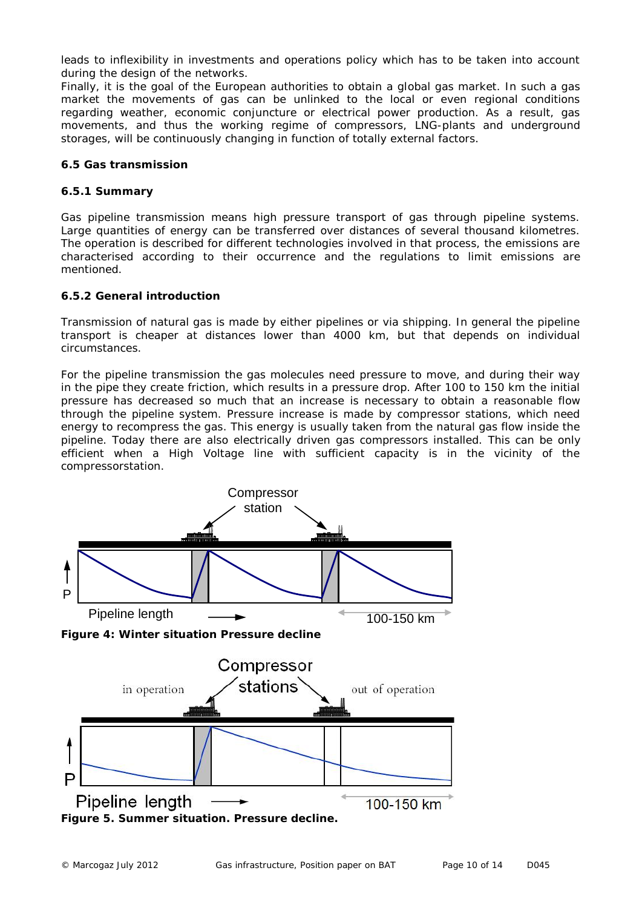leads to inflexibility in investments and operations policy which has to be taken into account during the design of the networks.

Finally, it is the goal of the European authorities to obtain a global gas market. In such a gas market the movements of gas can be unlinked to the local or even regional conditions regarding weather, economic conjuncture or electrical power production. As a result, gas movements, and thus the working regime of compressors, LNG-plants and underground storages, will be continuously changing in function of totally external factors.

#### **6.5 Gas transmission**

#### **6.5.1 Summary**

Gas pipeline transmission means high pressure transport of gas through pipeline systems. Large quantities of energy can be transferred over distances of several thousand kilometres. The operation is described for different technologies involved in that process, the emissions are characterised according to their occurrence and the regulations to limit emissions are mentioned.

#### **6.5.2 General introduction**

Transmission of natural gas is made by either pipelines or via shipping. In general the pipeline transport is cheaper at distances lower than 4000 km, but that depends on individual circumstances.

For the pipeline transmission the gas molecules need pressure to move, and during their way in the pipe they create friction, which results in a pressure drop. After 100 to 150 km the initial pressure has decreased so much that an increase is necessary to obtain a reasonable flow through the pipeline system. Pressure increase is made by compressor stations, which need energy to recompress the gas. This energy is usually taken from the natural gas flow inside the pipeline. Today there are also electrically driven gas compressors installed. This can be only efficient when a High Voltage line with sufficient capacity is in the vicinity of the compressorstation.



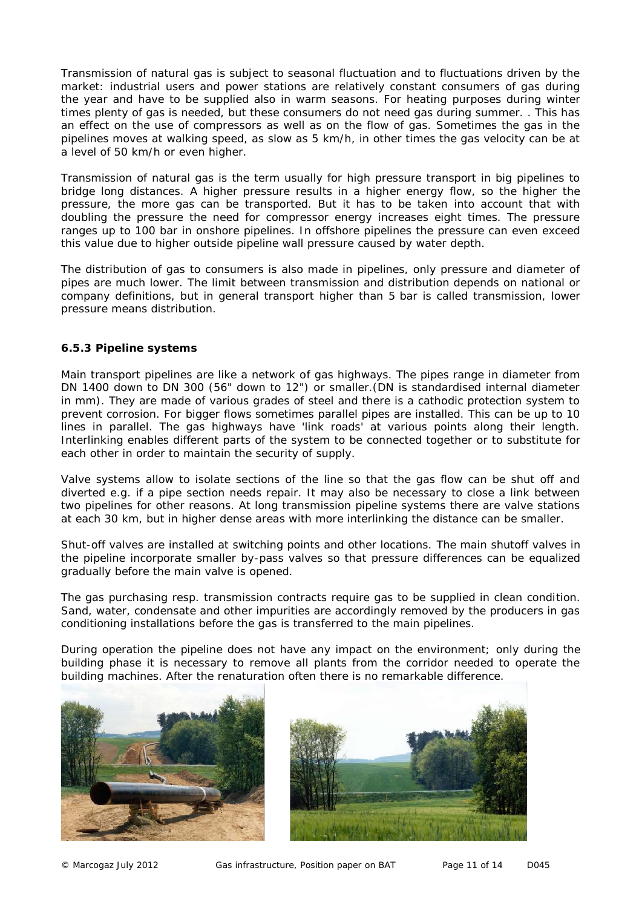Transmission of natural gas is subject to seasonal fluctuation and to fluctuations driven by the market: industrial users and power stations are relatively constant consumers of gas during the year and have to be supplied also in warm seasons. For heating purposes during winter times plenty of gas is needed, but these consumers do not need gas during summer. . This has an effect on the use of compressors as well as on the flow of gas. Sometimes the gas in the pipelines moves at walking speed, as slow as 5 km/h, in other times the gas velocity can be at a level of 50 km/h or even higher.

Transmission of natural gas is the term usually for high pressure transport in big pipelines to bridge long distances. A higher pressure results in a higher energy flow, so the higher the pressure, the more gas can be transported. But it has to be taken into account that with doubling the pressure the need for compressor energy increases eight times. The pressure ranges up to 100 bar in onshore pipelines. In offshore pipelines the pressure can even exceed this value due to higher outside pipeline wall pressure caused by water depth.

The distribution of gas to consumers is also made in pipelines, only pressure and diameter of pipes are much lower. The limit between transmission and distribution depends on national or company definitions, but in general transport higher than 5 bar is called transmission, lower pressure means distribution.

# **6.5.3 Pipeline systems**

Main transport pipelines are like a network of gas highways. The pipes range in diameter from DN 1400 down to DN 300 (56" down to 12") or smaller.(DN is standardised internal diameter in mm). They are made of various grades of steel and there is a cathodic protection system to prevent corrosion. For bigger flows sometimes parallel pipes are installed. This can be up to 10 lines in parallel. The gas highways have 'link roads' at various points along their length. Interlinking enables different parts of the system to be connected together or to substitute for each other in order to maintain the security of supply.

Valve systems allow to isolate sections of the line so that the gas flow can be shut off and diverted e.g. if a pipe section needs repair. It may also be necessary to close a link between two pipelines for other reasons. At long transmission pipeline systems there are valve stations at each 30 km, but in higher dense areas with more interlinking the distance can be smaller.

Shut-off valves are installed at switching points and other locations. The main shutoff valves in the pipeline incorporate smaller by-pass valves so that pressure differences can be equalized gradually before the main valve is opened.

The gas purchasing resp. transmission contracts require gas to be supplied in clean condition. Sand, water, condensate and other impurities are accordingly removed by the producers in gas conditioning installations before the gas is transferred to the main pipelines.

During operation the pipeline does not have any impact on the environment; only during the building phase it is necessary to remove all plants from the corridor needed to operate the building machines. After the renaturation often there is no remarkable difference.



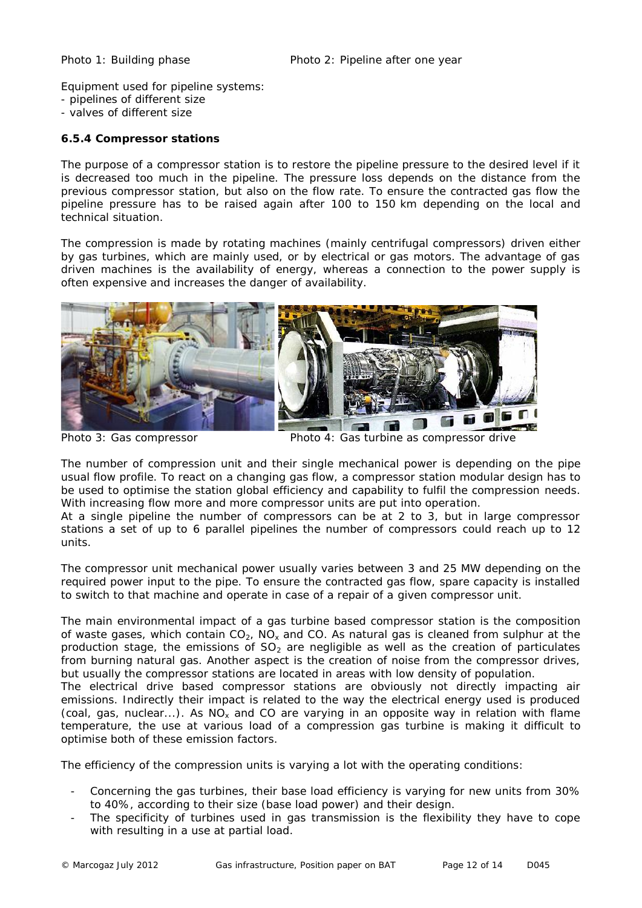Equipment used for pipeline systems:

- pipelines of different size
- valves of different size

**6.5.4 Compressor stations**

The purpose of a compressor station is to restore the pipeline pressure to the desired level if it is decreased too much in the pipeline. The pressure loss depends on the distance from the previous compressor station, but also on the flow rate. To ensure the contracted gas flow the pipeline pressure has to be raised again after 100 to 150 km depending on the local and technical situation.

The compression is made by rotating machines (mainly centrifugal compressors) driven either by gas turbines, which are mainly used, or by electrical or gas motors. The advantage of gas driven machines is the availability of energy, whereas a connection to the power supply is often expensive and increases the danger of availability.



Photo 3: Gas compressor Photo 4: Gas turbine as compressor drive

The number of compression unit and their single mechanical power is depending on the pipe usual flow profile. To react on a changing gas flow, a compressor station modular design has to be used to optimise the station global efficiency and capability to fulfil the compression needs. With increasing flow more and more compressor units are put into operation.

At a single pipeline the number of compressors can be at 2 to 3, but in large compressor stations a set of up to 6 parallel pipelines the number of compressors could reach up to 12 units.

The compressor unit mechanical power usually varies between 3 and 25 MW depending on the required power input to the pipe. To ensure the contracted gas flow, spare capacity is installed to switch to that machine and operate in case of a repair of a given compressor unit.

The main environmental impact of a gas turbine based compressor station is the composition of waste gases, which contain  $CO<sub>2</sub>$ , NO<sub>x</sub> and CO. As natural gas is cleaned from sulphur at the production stage, the emissions of  $SO<sub>2</sub>$  are negligible as well as the creation of particulates from burning natural gas. Another aspect is the creation of noise from the compressor drives, but usually the compressor stations are located in areas with low density of population.

The electrical drive based compressor stations are obviously not directly impacting air emissions. Indirectly their impact is related to the way the electrical energy used is produced (coal, gas, nuclear...). As  $NO<sub>x</sub>$  and CO are varying in an opposite way in relation with flame temperature, the use at various load of a compression gas turbine is making it difficult to optimise both of these emission factors.

The efficiency of the compression units is varying a lot with the operating conditions:

- Concerning the gas turbines, their base load efficiency is varying for new units from 30% to 40%, according to their size (base load power) and their design.
- The specificity of turbines used in gas transmission is the flexibility they have to cope with resulting in a use at partial load.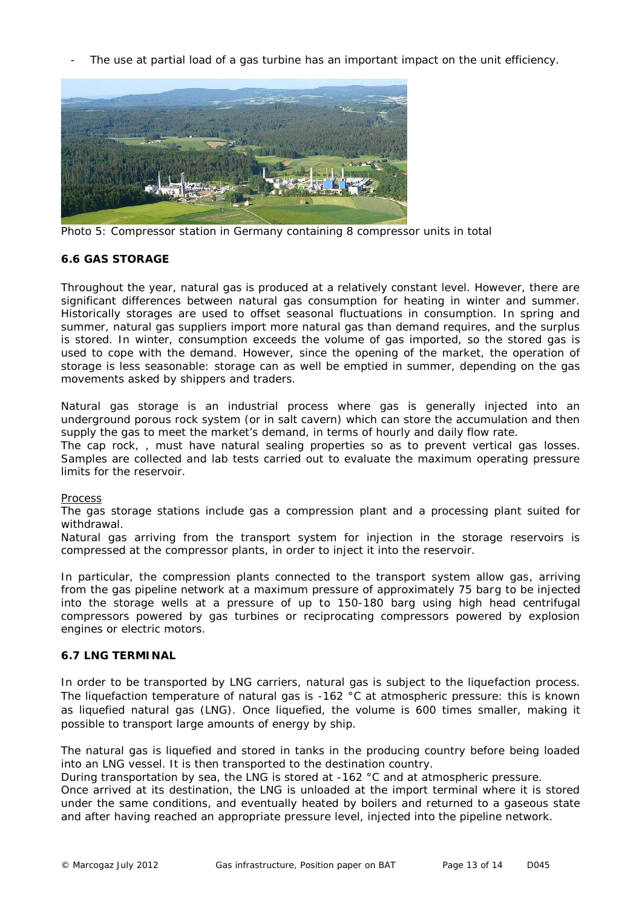The use at partial load of a gas turbine has an important impact on the unit efficiency.



Photo 5: Compressor station in Germany containing 8 compressor units in total

# **6.6 GAS STORAGE**

Throughout the year, natural gas is produced at a relatively constant level. However, there are significant differences between natural gas consumption for heating in winter and summer. Historically storages are used to offset seasonal fluctuations in consumption. In spring and summer, natural gas suppliers import more natural gas than demand requires, and the surplus is stored. In winter, consumption exceeds the volume of gas imported, so the stored gas is used to cope with the demand. However, since the opening of the market, the operation of storage is less seasonable: storage can as well be emptied in summer, depending on the gas movements asked by shippers and traders.

Natural gas storage is an industrial process where gas is generally injected into an underground porous rock system (or in salt cavern) which can store the accumulation and then supply the gas to meet the market's demand, in terms of hourly and daily flow rate.

The cap rock, , must have natural sealing properties so as to prevent vertical gas losses. Samples are collected and lab tests carried out to evaluate the maximum operating pressure limits for the reservoir.

# Process

The gas storage stations include gas a compression plant and a processing plant suited for withdrawal.

Natural gas arriving from the transport system for injection in the storage reservoirs is compressed at the compressor plants, in order to inject it into the reservoir.

In particular, the compression plants connected to the transport system allow gas, arriving from the gas pipeline network at a maximum pressure of approximately 75 barg to be injected into the storage wells at a pressure of up to 150-180 barg using high head centrifugal compressors powered by gas turbines or reciprocating compressors powered by explosion engines or electric motors.

# **6.7 LNG TERMINAL**

In order to be transported by LNG carriers, natural gas is subject to the liquefaction process. The liquefaction temperature of natural gas is -162 °C at atmospheric pressure: this is known as liquefied natural gas (LNG). Once liquefied, the volume is 600 times smaller, making it possible to transport large amounts of energy by ship.

The natural gas is liquefied and stored in tanks in the producing country before being loaded into an LNG vessel. It is then transported to the destination country.

During transportation by sea, the LNG is stored at -162 °C and at atmospheric pressure.

Once arrived at its destination, the LNG is unloaded at the import terminal where it is stored under the same conditions, and eventually heated by boilers and returned to a gaseous state and after having reached an appropriate pressure level, injected into the pipeline network.